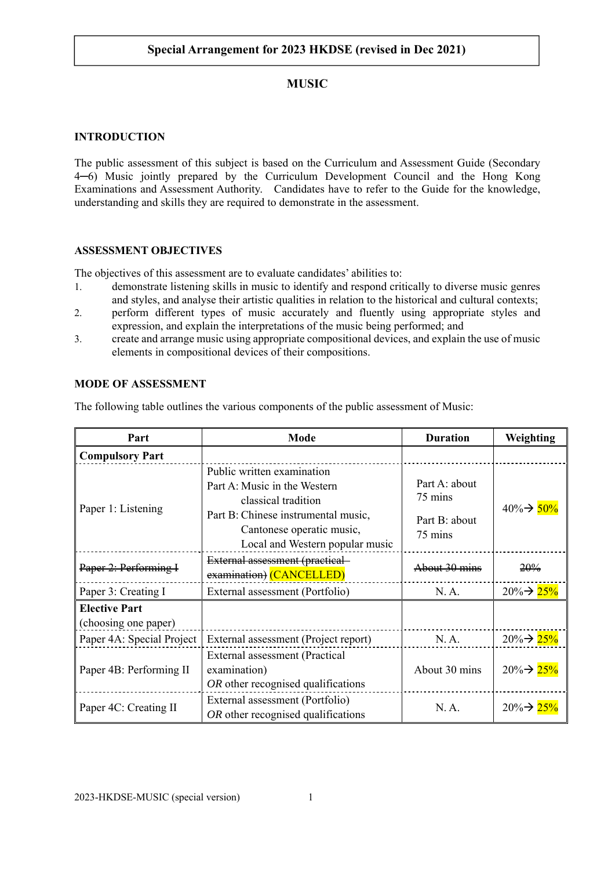# **MUSIC**

### **INTRODUCTION**

The public assessment of this subject is based on the Curriculum and Assessment Guide (Secondary 4─6) Music jointly prepared by the Curriculum Development Council and the Hong Kong Examinations and Assessment Authority. Candidates have to refer to the Guide for the knowledge, understanding and skills they are required to demonstrate in the assessment.

## **ASSESSMENT OBJECTIVES**

The objectives of this assessment are to evaluate candidates' abilities to:

- 1. demonstrate listening skills in music to identify and respond critically to diverse music genres and styles, and analyse their artistic qualities in relation to the historical and cultural contexts;
- 2. perform different types of music accurately and fluently using appropriate styles and expression, and explain the interpretations of the music being performed; and
- 3. create and arrange music using appropriate compositional devices, and explain the use of music elements in compositional devices of their compositions.

## **MODE OF ASSESSMENT**

The following table outlines the various components of the public assessment of Music:

| Part                                         | Mode                                                                                                                                                                                     | <b>Duration</b>                                      | Weighting               |
|----------------------------------------------|------------------------------------------------------------------------------------------------------------------------------------------------------------------------------------------|------------------------------------------------------|-------------------------|
| <b>Compulsory Part</b>                       |                                                                                                                                                                                          |                                                      |                         |
| Paper 1: Listening                           | Public written examination<br>Part A: Music in the Western<br>classical tradition<br>Part B: Chinese instrumental music,<br>Cantonese operatic music,<br>Local and Western popular music | Part A: about<br>75 mins<br>Part B: about<br>75 mins | $40\% \rightarrow 50\%$ |
| Paper 2: Performing I                        | External assessment (practical-<br>examination) (CANCELLED)                                                                                                                              | About 30 mins                                        | 20%                     |
| Paper 3: Creating I                          | External assessment (Portfolio)                                                                                                                                                          | N.A.                                                 | $20\% \rightarrow 25\%$ |
| <b>Elective Part</b><br>(choosing one paper) |                                                                                                                                                                                          |                                                      |                         |
| Paper 4A: Special Project                    | External assessment (Project report)                                                                                                                                                     | N. A.                                                | $20\% \rightarrow 25\%$ |
| Paper 4B: Performing II                      | External assessment (Practical<br>examination)<br>OR other recognised qualifications                                                                                                     | About 30 mins                                        | $20\% \rightarrow 25\%$ |
| Paper 4C: Creating II                        | External assessment (Portfolio)<br>OR other recognised qualifications                                                                                                                    | N. A.                                                | $20\% \rightarrow 25\%$ |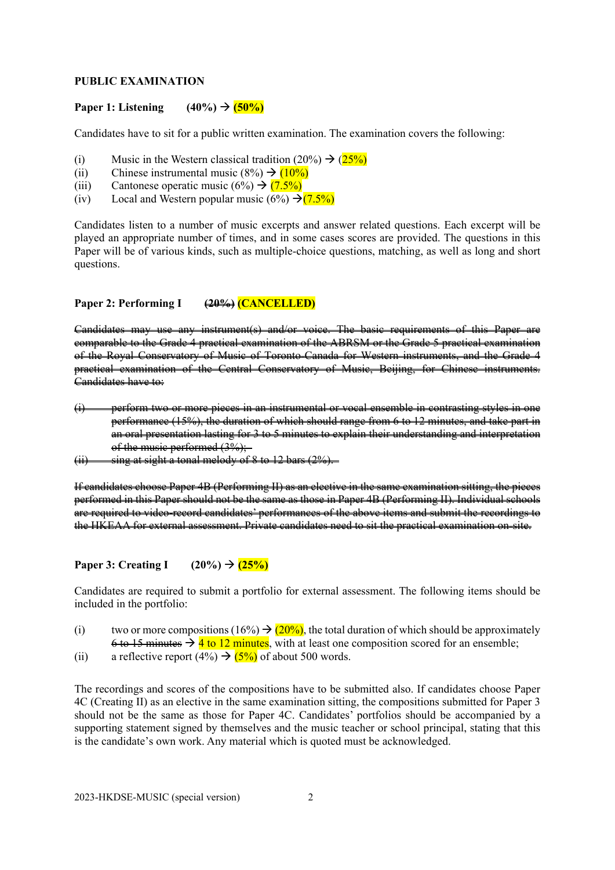#### **PUBLIC EXAMINATION**

#### Paper 1: Listening  $(40\%) \rightarrow (50\%)$

Candidates have to sit for a public written examination. The examination covers the following:

- (i) Music in the Western classical tradition  $(20\%) \rightarrow (25\%)$
- (ii) Chinese instrumental music  $(8\%) \rightarrow (10\%)$
- (iii) Cantonese operatic music  $(6\%) \rightarrow (7.5\%)$
- (iv) Local and Western popular music  $(6\%) \rightarrow (7.5\%)$

Candidates listen to a number of music excerpts and answer related questions. Each excerpt will be played an appropriate number of times, and in some cases scores are provided. The questions in this Paper will be of various kinds, such as multiple-choice questions, matching, as well as long and short questions.

#### **Paper 2: Performing I (20%) (CANCELLED)**

Candidates may use any instrument(s) and/or voice. The basic requirements of this Paper are comparable to the Grade 4 practical examination of the ABRSM or the Grade 5 practical examination of the Royal Conservatory of Music of Toronto-Canada for Western instruments, and the Grade 4 practical examination of the Central Conservatory of Music, Beijing, for Chinese instruments. Candidates have to:

- (i) perform two or more pieces in an instrumental or vocal ensemble in contrasting styles in one performance (15%), the duration of which should range from 6 to 12 minutes, and take part in an oral presentation lasting for 3 to 5 minutes to explain their understanding and interpretation of the music performed (3%);-
- $(ii)$  sing at sight a tonal melody of 8 to 12 bars  $(2%)$ .

If candidates choose Paper 4B (Performing II) as an elective in the same examination sitting, the pieces performed in this Paper should not be the same as those in Paper 4B (Performing II). Individual schools are required to video-record candidates' performances of the above items and submit the recordings to the HKEAA for external assessment. Private candidates need to sit the practical examination on-site.

#### **Paper 3: Creating I**  $(20\%) \rightarrow (25\%)$

Candidates are required to submit a portfolio for external assessment. The following items should be included in the portfolio:

- (i) two or more compositions (16%)  $\rightarrow$  (20%), the total duration of which should be approximately  $6$  to 15 minutes  $\rightarrow$  4 to 12 minutes, with at least one composition scored for an ensemble;
- (ii) a reflective report (4%)  $\rightarrow$  (5%) of about 500 words.

The recordings and scores of the compositions have to be submitted also. If candidates choose Paper 4C (Creating II) as an elective in the same examination sitting, the compositions submitted for Paper 3 should not be the same as those for Paper 4C. Candidates' portfolios should be accompanied by a supporting statement signed by themselves and the music teacher or school principal, stating that this is the candidate's own work. Any material which is quoted must be acknowledged.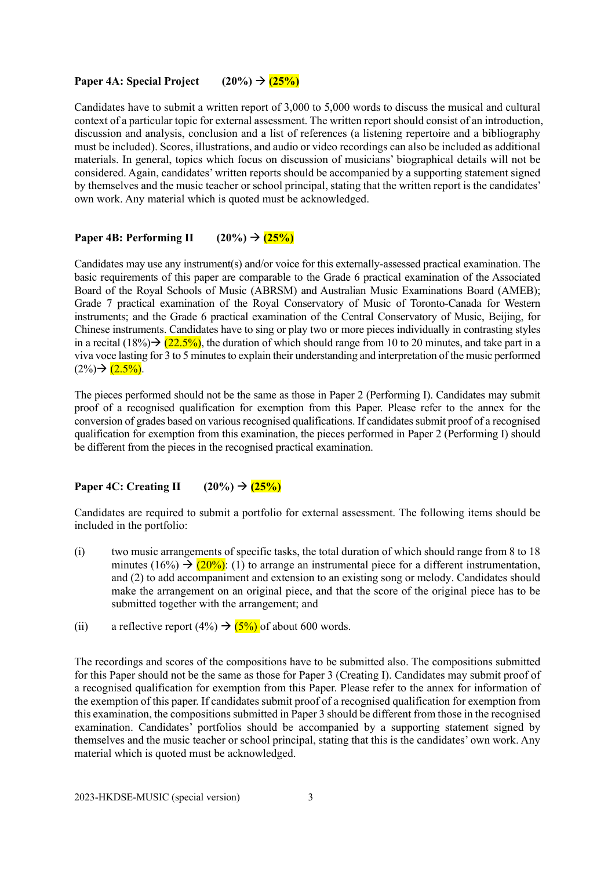### **Paper 4A: Special Project**  $(20\%) \rightarrow (25\%)$

Candidates have to submit a written report of 3,000 to 5,000 words to discuss the musical and cultural context of a particular topic for external assessment. The written report should consist of an introduction, discussion and analysis, conclusion and a list of references (a listening repertoire and a bibliography must be included). Scores, illustrations, and audio or video recordings can also be included as additional materials. In general, topics which focus on discussion of musicians' biographical details will not be considered. Again, candidates' written reports should be accompanied by a supporting statement signed by themselves and the music teacher or school principal, stating that the written report is the candidates' own work. Any material which is quoted must be acknowledged.

## Paper 4B: Performing II  $(20\%) \rightarrow (25\%)$

Candidates may use any instrument(s) and/or voice for this externally-assessed practical examination. The basic requirements of this paper are comparable to the Grade 6 practical examination of the Associated Board of the Royal Schools of Music (ABRSM) and Australian Music Examinations Board (AMEB); Grade 7 practical examination of the Royal Conservatory of Music of Toronto-Canada for Western instruments; and the Grade 6 practical examination of the Central Conservatory of Music, Beijing, for Chinese instruments. Candidates have to sing or play two or more pieces individually in contrasting styles in a recital  $(18\%)\rightarrow (22.5\%)$ , the duration of which should range from 10 to 20 minutes, and take part in a viva voce lasting for 3 to 5 minutes to explain their understanding and interpretation of the music performed  $(2\%) \rightarrow (2.5\%)$ .

The pieces performed should not be the same as those in Paper 2 (Performing I). Candidates may submit proof of a recognised qualification for exemption from this Paper. Please refer to the annex for the conversion of grades based on various recognised qualifications. If candidates submit proof of a recognised qualification for exemption from this examination, the pieces performed in Paper 2 (Performing I) should be different from the pieces in the recognised practical examination.

## **Paper 4C: Creating II**  $(20\%) \rightarrow (25\%)$

Candidates are required to submit a portfolio for external assessment. The following items should be included in the portfolio:

- (i) two music arrangements of specific tasks, the total duration of which should range from 8 to 18 minutes (16%)  $\rightarrow$  (20%): (1) to arrange an instrumental piece for a different instrumentation, and (2) to add accompaniment and extension to an existing song or melody. Candidates should make the arrangement on an original piece, and that the score of the original piece has to be submitted together with the arrangement; and
- (ii) a reflective report (4%)  $\rightarrow$  (5%) of about 600 words.

The recordings and scores of the compositions have to be submitted also. The compositions submitted for this Paper should not be the same as those for Paper 3 (Creating I). Candidates may submit proof of a recognised qualification for exemption from this Paper. Please refer to the annex for information of the exemption of this paper. If candidates submit proof of a recognised qualification for exemption from this examination, the compositions submitted in Paper 3 should be different from those in the recognised examination. Candidates' portfolios should be accompanied by a supporting statement signed by themselves and the music teacher or school principal, stating that this is the candidates' own work. Any material which is quoted must be acknowledged.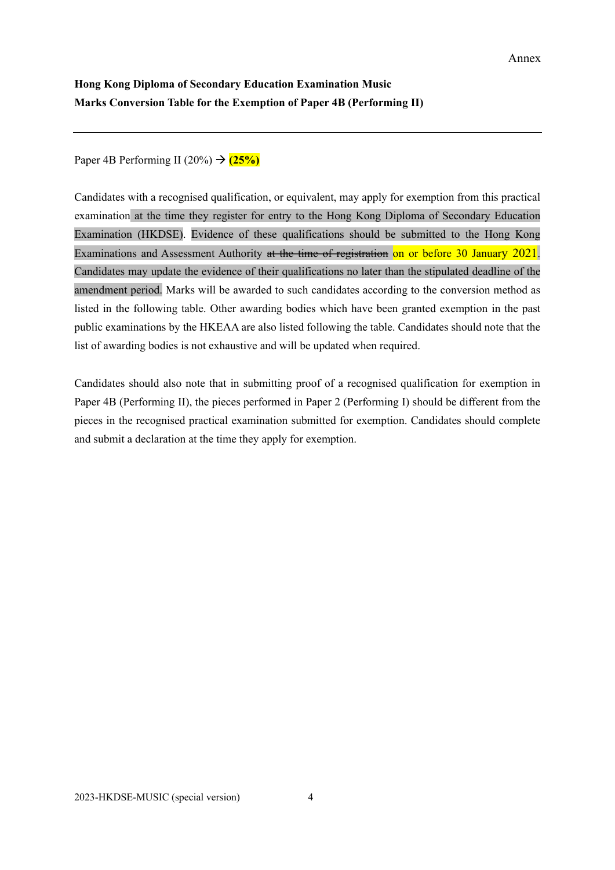# **Hong Kong Diploma of Secondary Education Examination Music Marks Conversion Table for the Exemption of Paper 4B (Performing II)**

Paper 4B Performing II (20%)  $\rightarrow$  (25%)

Candidates with a recognised qualification, or equivalent, may apply for exemption from this practical examination at the time they register for entry to the Hong Kong Diploma of Secondary Education Examination (HKDSE). Evidence of these qualifications should be submitted to the Hong Kong Examinations and Assessment Authority at the time of registration on or before 30 January 2021. Candidates may update the evidence of their qualifications no later than the stipulated deadline of the amendment period. Marks will be awarded to such candidates according to the conversion method as listed in the following table. Other awarding bodies which have been granted exemption in the past public examinations by the HKEAA are also listed following the table. Candidates should note that the list of awarding bodies is not exhaustive and will be updated when required.

Candidates should also note that in submitting proof of a recognised qualification for exemption in Paper 4B (Performing II), the pieces performed in Paper 2 (Performing I) should be different from the pieces in the recognised practical examination submitted for exemption. Candidates should complete and submit a declaration at the time they apply for exemption.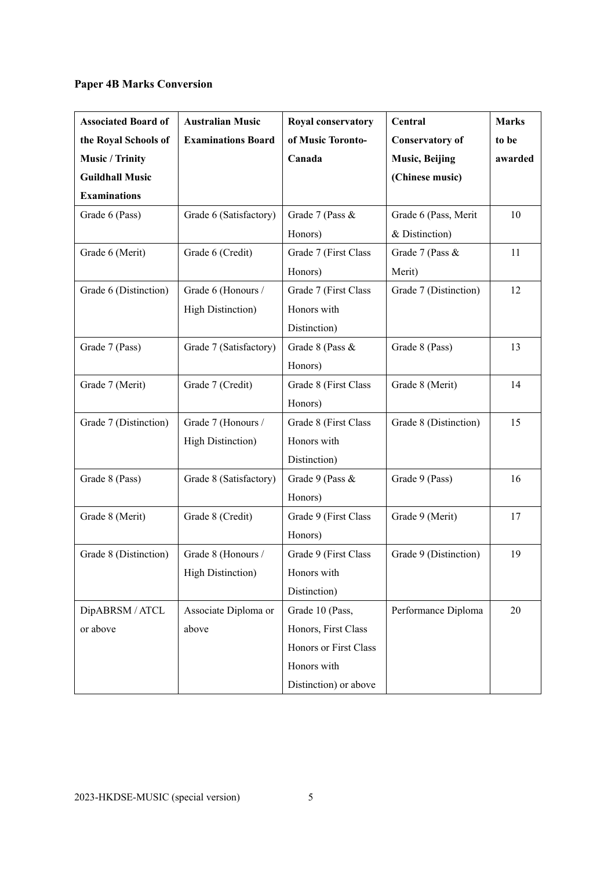# **Paper 4B Marks Conversion**

| <b>Associated Board of</b> | <b>Australian Music</b>   | Royal conservatory    | Central                | <b>Marks</b> |
|----------------------------|---------------------------|-----------------------|------------------------|--------------|
| the Royal Schools of       | <b>Examinations Board</b> | of Music Toronto-     | <b>Conservatory of</b> | to be        |
| <b>Music / Trinity</b>     |                           | Canada                | <b>Music, Beijing</b>  | awarded      |
| <b>Guildhall Music</b>     |                           |                       | (Chinese music)        |              |
| <b>Examinations</b>        |                           |                       |                        |              |
| Grade 6 (Pass)             | Grade 6 (Satisfactory)    | Grade 7 (Pass &       | Grade 6 (Pass, Merit   | 10           |
|                            |                           | Honors)               | & Distinction)         |              |
| Grade 6 (Merit)            | Grade 6 (Credit)          | Grade 7 (First Class  | Grade 7 (Pass &        | 11           |
|                            |                           | Honors)               | Merit)                 |              |
| Grade 6 (Distinction)      | Grade 6 (Honours /        | Grade 7 (First Class  | Grade 7 (Distinction)  | 12           |
|                            | <b>High Distinction</b> ) | Honors with           |                        |              |
|                            |                           | Distinction)          |                        |              |
| Grade 7 (Pass)             | Grade 7 (Satisfactory)    | Grade 8 (Pass &       | Grade 8 (Pass)         | 13           |
|                            |                           | Honors)               |                        |              |
| Grade 7 (Merit)            | Grade 7 (Credit)          | Grade 8 (First Class  | Grade 8 (Merit)        | 14           |
|                            |                           | Honors)               |                        |              |
| Grade 7 (Distinction)      | Grade 7 (Honours /        | Grade 8 (First Class  | Grade 8 (Distinction)  | 15           |
|                            | <b>High Distinction</b> ) | Honors with           |                        |              |
|                            |                           | Distinction)          |                        |              |
| Grade 8 (Pass)             | Grade 8 (Satisfactory)    | Grade 9 (Pass &       | Grade 9 (Pass)         | 16           |
|                            |                           | Honors)               |                        |              |
| Grade 8 (Merit)            | Grade 8 (Credit)          | Grade 9 (First Class  | Grade 9 (Merit)        | 17           |
|                            |                           | Honors)               |                        |              |
| Grade 8 (Distinction)      | Grade 8 (Honours /        | Grade 9 (First Class  | Grade 9 (Distinction)  | 19           |
|                            | <b>High Distinction</b> ) | Honors with           |                        |              |
|                            |                           | Distinction)          |                        |              |
| DipABRSM / ATCL            | Associate Diploma or      | Grade 10 (Pass,       | Performance Diploma    | 20           |
| or above                   | above                     | Honors, First Class   |                        |              |
|                            |                           | Honors or First Class |                        |              |
|                            |                           | Honors with           |                        |              |
|                            |                           | Distinction) or above |                        |              |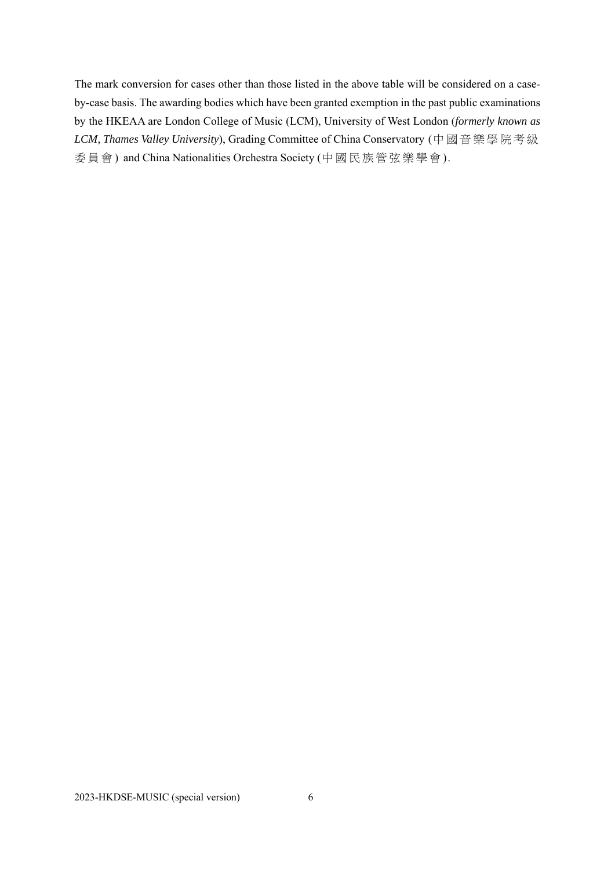The mark conversion for cases other than those listed in the above table will be considered on a caseby-case basis. The awarding bodies which have been granted exemption in the past public examinations by the HKEAA are London College of Music (LCM), University of West London (*formerly known as LCM, Thames Valley University*), Grading Committee of China Conservatory (中國音樂學院考級 委員會 ) and China Nationalities Orchestra Society (中國民族管弦樂學會 ).